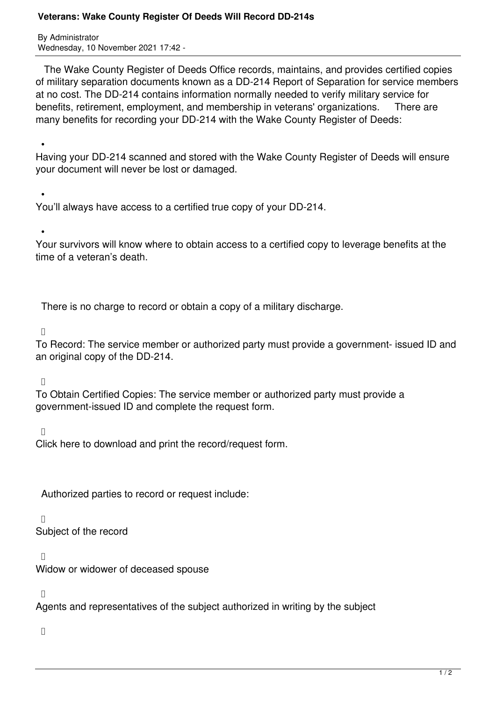## **Veterans: Wake County Register Of Deeds Will Record DD-214s**

By Administrator Wednesday, 10 November 2021 17:42 -

 The Wake County Register of Deeds Office records, maintains, and provides certified copies of military separation documents known as a DD-214 Report of Separation for service members at no cost. The DD-214 contains information normally needed to verify military service for benefits, retirement, employment, and membership in veterans' organizations. There are many benefits for recording your DD-214 with the Wake County Register of Deeds:

 • Having your DD-214 scanned and stored with the Wake County Register of Deeds will ensure your document will never be lost or damaged.

 • You'll always have access to a certified true copy of your DD-214.

•

Your survivors will know where to obtain access to a certified copy to leverage benefits at the time of a veteran's death.

There is no charge to record or obtain a copy of a military discharge.

 $\Box$ 

To Record: The service member or authorized party must provide a government- issued ID and an original copy of the DD-214.

 $\Box$ 

To Obtain Certified Copies: The service member or authorized party must provide a government-issued ID and complete the request form.

 $\Box$ 

Click here to download and print the record/request form.

Authorized parties to record or request include:

 $\Box$ 

Subject of the record

 $\Box$ 

Widow or widower of deceased spouse

 $\Box$ 

Agents and representatives of the subject authorized in writing by the subject

 $\Box$